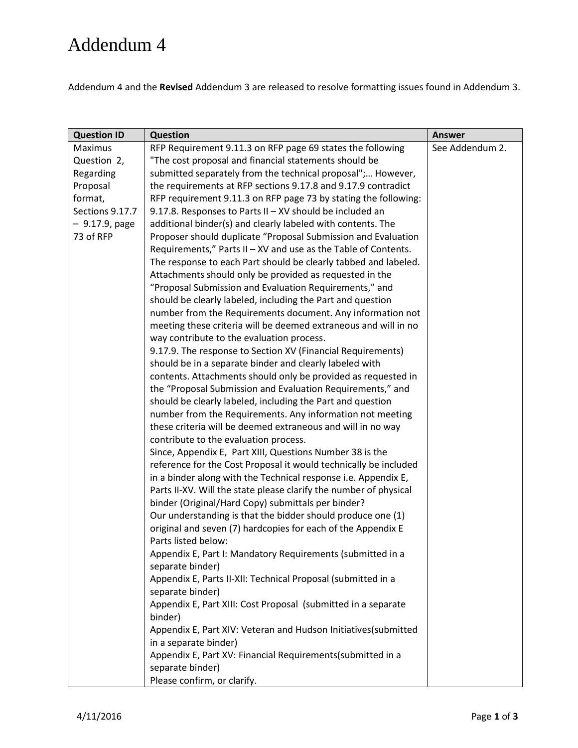## Addendum 4

Addendum 4 and the **Revised** Addendum 3 are released to resolve formatting issues found in Addendum 3.

| <b>Question ID</b> | <b>Question</b>                                                   | <b>Answer</b>   |
|--------------------|-------------------------------------------------------------------|-----------------|
| <b>Maximus</b>     | RFP Requirement 9.11.3 on RFP page 69 states the following        | See Addendum 2. |
| Question 2,        | "The cost proposal and financial statements should be             |                 |
| Regarding          | submitted separately from the technical proposal"; However,       |                 |
| Proposal           | the requirements at RFP sections 9.17.8 and 9.17.9 contradict     |                 |
| format,            | RFP requirement 9.11.3 on RFP page 73 by stating the following:   |                 |
| Sections 9.17.7    | 9.17.8. Responses to Parts II - XV should be included an          |                 |
| $-9.17.9$ , page   | additional binder(s) and clearly labeled with contents. The       |                 |
| 73 of RFP          | Proposer should duplicate "Proposal Submission and Evaluation     |                 |
|                    | Requirements," Parts II - XV and use as the Table of Contents.    |                 |
|                    | The response to each Part should be clearly tabbed and labeled.   |                 |
|                    | Attachments should only be provided as requested in the           |                 |
|                    | "Proposal Submission and Evaluation Requirements," and            |                 |
|                    | should be clearly labeled, including the Part and question        |                 |
|                    | number from the Requirements document. Any information not        |                 |
|                    | meeting these criteria will be deemed extraneous and will in no   |                 |
|                    | way contribute to the evaluation process.                         |                 |
|                    | 9.17.9. The response to Section XV (Financial Requirements)       |                 |
|                    | should be in a separate binder and clearly labeled with           |                 |
|                    | contents. Attachments should only be provided as requested in     |                 |
|                    | the "Proposal Submission and Evaluation Requirements," and        |                 |
|                    | should be clearly labeled, including the Part and question        |                 |
|                    | number from the Requirements. Any information not meeting         |                 |
|                    | these criteria will be deemed extraneous and will in no way       |                 |
|                    | contribute to the evaluation process.                             |                 |
|                    | Since, Appendix E, Part XIII, Questions Number 38 is the          |                 |
|                    | reference for the Cost Proposal it would technically be included  |                 |
|                    | in a binder along with the Technical response i.e. Appendix E,    |                 |
|                    | Parts II-XV. Will the state please clarify the number of physical |                 |
|                    | binder (Original/Hard Copy) submittals per binder?                |                 |
|                    | Our understanding is that the bidder should produce one (1)       |                 |
|                    | original and seven (7) hardcopies for each of the Appendix E      |                 |
|                    | Parts listed below:                                               |                 |
|                    | Appendix E, Part I: Mandatory Requirements (submitted in a        |                 |
|                    | separate binder)                                                  |                 |
|                    | Appendix E, Parts II-XII: Technical Proposal (submitted in a      |                 |
|                    | separate binder)                                                  |                 |
|                    | Appendix E, Part XIII: Cost Proposal (submitted in a separate     |                 |
|                    | binder)                                                           |                 |
|                    | Appendix E, Part XIV: Veteran and Hudson Initiatives(submitted    |                 |
|                    | in a separate binder)                                             |                 |
|                    | Appendix E, Part XV: Financial Requirements(submitted in a        |                 |
|                    | separate binder)                                                  |                 |
|                    | Please confirm, or clarify.                                       |                 |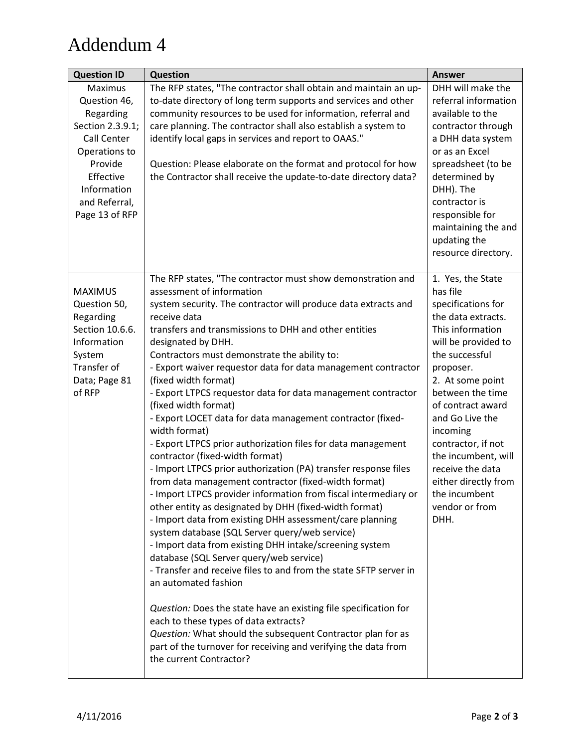## Addendum 4

| <b>Question ID</b>                                                                                                                                                 | <b>Question</b>                                                                                                                                                                                                                                                                                                                                                                                                                                                                                                                                                                                                                                                                                                                                                                                                                                                                                                                                                                                                                                                                                                                                                                                                                                                                                                                                                                                                                                                                                                                | <b>Answer</b>                                                                                                                                                                                                                                                                                                                                                                       |
|--------------------------------------------------------------------------------------------------------------------------------------------------------------------|--------------------------------------------------------------------------------------------------------------------------------------------------------------------------------------------------------------------------------------------------------------------------------------------------------------------------------------------------------------------------------------------------------------------------------------------------------------------------------------------------------------------------------------------------------------------------------------------------------------------------------------------------------------------------------------------------------------------------------------------------------------------------------------------------------------------------------------------------------------------------------------------------------------------------------------------------------------------------------------------------------------------------------------------------------------------------------------------------------------------------------------------------------------------------------------------------------------------------------------------------------------------------------------------------------------------------------------------------------------------------------------------------------------------------------------------------------------------------------------------------------------------------------|-------------------------------------------------------------------------------------------------------------------------------------------------------------------------------------------------------------------------------------------------------------------------------------------------------------------------------------------------------------------------------------|
| Maximus<br>Question 46,<br>Regarding<br>Section 2.3.9.1;<br>Call Center<br>Operations to<br>Provide<br>Effective<br>Information<br>and Referral,<br>Page 13 of RFP | The RFP states, "The contractor shall obtain and maintain an up-<br>to-date directory of long term supports and services and other<br>community resources to be used for information, referral and<br>care planning. The contractor shall also establish a system to<br>identify local gaps in services and report to OAAS."<br>Question: Please elaborate on the format and protocol for how<br>the Contractor shall receive the update-to-date directory data?                                                                                                                                                                                                                                                                                                                                                                                                                                                                                                                                                                                                                                                                                                                                                                                                                                                                                                                                                                                                                                                               | DHH will make the<br>referral information<br>available to the<br>contractor through<br>a DHH data system<br>or as an Excel<br>spreadsheet (to be<br>determined by<br>DHH). The<br>contractor is<br>responsible for<br>maintaining the and<br>updating the<br>resource directory.                                                                                                    |
| <b>MAXIMUS</b><br>Question 50,<br>Regarding<br>Section 10.6.6.<br>Information<br>System<br>Transfer of<br>Data; Page 81<br>of RFP                                  | The RFP states, "The contractor must show demonstration and<br>assessment of information<br>system security. The contractor will produce data extracts and<br>receive data<br>transfers and transmissions to DHH and other entities<br>designated by DHH.<br>Contractors must demonstrate the ability to:<br>- Export waiver requestor data for data management contractor<br>(fixed width format)<br>- Export LTPCS requestor data for data management contractor<br>(fixed width format)<br>- Export LOCET data for data management contractor (fixed-<br>width format)<br>- Export LTPCS prior authorization files for data management<br>contractor (fixed-width format)<br>- Import LTPCS prior authorization (PA) transfer response files<br>from data management contractor (fixed-width format)<br>- Import LTPCS provider information from fiscal intermediary or<br>other entity as designated by DHH (fixed-width format)<br>- Import data from existing DHH assessment/care planning<br>system database (SQL Server query/web service)<br>- Import data from existing DHH intake/screening system<br>database (SQL Server query/web service)<br>- Transfer and receive files to and from the state SFTP server in<br>an automated fashion<br>Question: Does the state have an existing file specification for<br>each to these types of data extracts?<br>Question: What should the subsequent Contractor plan for as<br>part of the turnover for receiving and verifying the data from<br>the current Contractor? | 1. Yes, the State<br>has file<br>specifications for<br>the data extracts.<br>This information<br>will be provided to<br>the successful<br>proposer.<br>2. At some point<br>between the time<br>of contract award<br>and Go Live the<br>incoming<br>contractor, if not<br>the incumbent, will<br>receive the data<br>either directly from<br>the incumbent<br>vendor or from<br>DHH. |